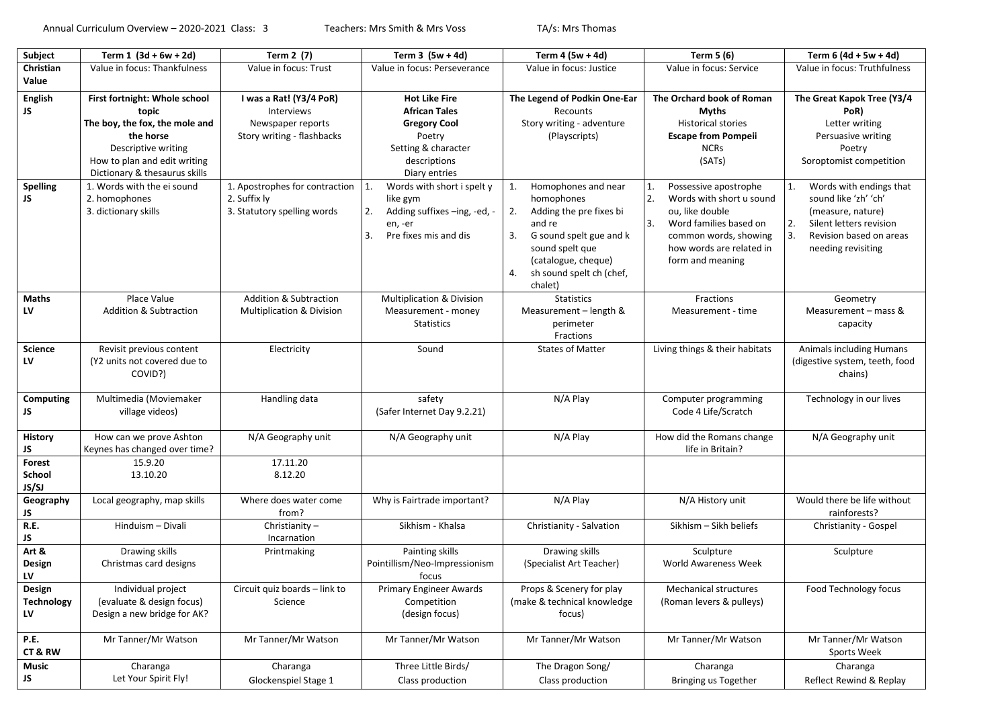| Subject                           | Term $1(3d + 6w + 2d)$                                                                                                                                                        | Term 2 (7)                                                                               | Term $3(5w + 4d)$                                                                                                                     | Term 4 (5w + 4d)                                                                                                                                                                                           | Term 5 (6)                                                                                                                                                                                | Term $6(4d + 5w + 4d)$                                                                                                                                       |
|-----------------------------------|-------------------------------------------------------------------------------------------------------------------------------------------------------------------------------|------------------------------------------------------------------------------------------|---------------------------------------------------------------------------------------------------------------------------------------|------------------------------------------------------------------------------------------------------------------------------------------------------------------------------------------------------------|-------------------------------------------------------------------------------------------------------------------------------------------------------------------------------------------|--------------------------------------------------------------------------------------------------------------------------------------------------------------|
| Christian                         | Value in focus: Thankfulness                                                                                                                                                  | Value in focus: Trust                                                                    | Value in focus: Perseverance                                                                                                          | Value in focus: Justice                                                                                                                                                                                    | Value in focus: Service                                                                                                                                                                   | Value in focus: Truthfulness                                                                                                                                 |
| Value                             |                                                                                                                                                                               |                                                                                          |                                                                                                                                       |                                                                                                                                                                                                            |                                                                                                                                                                                           |                                                                                                                                                              |
| English<br>JS.                    | First fortnight: Whole school<br>topic<br>The boy, the fox, the mole and<br>the horse<br>Descriptive writing<br>How to plan and edit writing<br>Dictionary & thesaurus skills | I was a Rat! (Y3/4 PoR)<br>Interviews<br>Newspaper reports<br>Story writing - flashbacks | <b>Hot Like Fire</b><br><b>African Tales</b><br><b>Gregory Cool</b><br>Poetry<br>Setting & character<br>descriptions<br>Diary entries | The Legend of Podkin One-Ear<br>Recounts<br>Story writing - adventure<br>(Playscripts)                                                                                                                     | The Orchard book of Roman<br><b>Myths</b><br><b>Historical stories</b><br><b>Escape from Pompeii</b><br><b>NCRs</b><br>(SATs)                                                             | The Great Kapok Tree (Y3/4<br>PoR)<br>Letter writing<br>Persuasive writing<br>Poetry<br>Soroptomist competition                                              |
| Spelling<br>JS                    | 1. Words with the ei sound<br>2. homophones<br>3. dictionary skills                                                                                                           | 1. Apostrophes for contraction<br>2. Suffix ly<br>3. Statutory spelling words            | 1.<br>Words with short i spelt y<br>like gym<br>Adding suffixes -ing, -ed, -<br>2.<br>en, -er<br>Pre fixes mis and dis<br>3.          | Homophones and near<br>1.<br>homophones<br>Adding the pre fixes bi<br>2.<br>and re<br>G sound spelt gue and k<br>3.<br>sound spelt que<br>(catalogue, cheque)<br>sh sound spelt ch (chef,<br>4.<br>chalet) | Possessive apostrophe<br>1.<br>2.<br>Words with short u sound<br>ou, like double<br>3.<br>Word families based on<br>common words, showing<br>how words are related in<br>form and meaning | Words with endings that<br>sound like 'zh' 'ch'<br>(measure, nature)<br>Silent letters revision<br>2.<br>3.<br>Revision based on areas<br>needing revisiting |
| Maths<br>LV                       | Place Value<br>Addition & Subtraction                                                                                                                                         | <b>Addition &amp; Subtraction</b><br><b>Multiplication &amp; Division</b>                | Multiplication & Division<br>Measurement - money<br><b>Statistics</b>                                                                 | <b>Statistics</b><br>Measurement - length &<br>perimeter<br>Fractions                                                                                                                                      | Fractions<br>Measurement - time                                                                                                                                                           | Geometry<br>Measurement - mass &<br>capacity                                                                                                                 |
| <b>Science</b><br><b>LV</b>       | Revisit previous content<br>(Y2 units not covered due to<br>COVID?)                                                                                                           | Electricity                                                                              | Sound                                                                                                                                 | <b>States of Matter</b>                                                                                                                                                                                    | Living things & their habitats                                                                                                                                                            | Animals including Humans<br>(digestive system, teeth, food<br>chains)                                                                                        |
| Computing<br>JS                   | Multimedia (Moviemaker<br>village videos)                                                                                                                                     | Handling data                                                                            | safety<br>(Safer Internet Day 9.2.21)                                                                                                 | N/A Play                                                                                                                                                                                                   | Computer programming<br>Code 4 Life/Scratch                                                                                                                                               | Technology in our lives                                                                                                                                      |
| History<br>JS                     | How can we prove Ashton<br>Keynes has changed over time?                                                                                                                      | N/A Geography unit                                                                       | N/A Geography unit                                                                                                                    | N/A Play                                                                                                                                                                                                   | How did the Romans change<br>life in Britain?                                                                                                                                             | N/A Geography unit                                                                                                                                           |
| Forest<br>School<br><b>JS/SJ</b>  | 15.9.20<br>13.10.20                                                                                                                                                           | 17.11.20<br>8.12.20                                                                      |                                                                                                                                       |                                                                                                                                                                                                            |                                                                                                                                                                                           |                                                                                                                                                              |
| Geography<br>JS                   | Local geography, map skills                                                                                                                                                   | Where does water come<br>from?                                                           | Why is Fairtrade important?                                                                                                           | N/A Play                                                                                                                                                                                                   | N/A History unit                                                                                                                                                                          | Would there be life without<br>rainforests?                                                                                                                  |
| R.E.<br>JS                        | Hinduism - Divali                                                                                                                                                             | Christianity-<br>Incarnation                                                             | Sikhism - Khalsa                                                                                                                      | Christianity - Salvation                                                                                                                                                                                   | Sikhism - Sikh beliefs                                                                                                                                                                    | Christianity - Gospel                                                                                                                                        |
| Art &<br>Design<br>LV             | Drawing skills<br>Christmas card designs                                                                                                                                      | Printmaking                                                                              | Painting skills<br>Pointillism/Neo-Impressionism<br>focus                                                                             | Drawing skills<br>(Specialist Art Teacher)                                                                                                                                                                 | Sculpture<br>World Awareness Week                                                                                                                                                         | Sculpture                                                                                                                                                    |
| Design<br><b>Technology</b><br>LV | Individual project<br>(evaluate & design focus)<br>Design a new bridge for AK?                                                                                                | Circuit quiz boards - link to<br>Science                                                 | Primary Engineer Awards<br>Competition<br>(design focus)                                                                              | Props & Scenery for play<br>(make & technical knowledge<br>focus)                                                                                                                                          | Mechanical structures<br>(Roman levers & pulleys)                                                                                                                                         | Food Technology focus                                                                                                                                        |
| <b>P.E.</b><br>CT&RW              | Mr Tanner/Mr Watson                                                                                                                                                           | Mr Tanner/Mr Watson                                                                      | Mr Tanner/Mr Watson                                                                                                                   | Mr Tanner/Mr Watson                                                                                                                                                                                        | Mr Tanner/Mr Watson                                                                                                                                                                       | Mr Tanner/Mr Watson<br>Sports Week                                                                                                                           |
| <b>Music</b><br>JS                | Charanga<br>Let Your Spirit Fly!                                                                                                                                              | Charanga<br>Glockenspiel Stage 1                                                         | Three Little Birds/<br>Class production                                                                                               | The Dragon Song/<br>Class production                                                                                                                                                                       | Charanga<br>Bringing us Together                                                                                                                                                          | Charanga<br>Reflect Rewind & Replay                                                                                                                          |